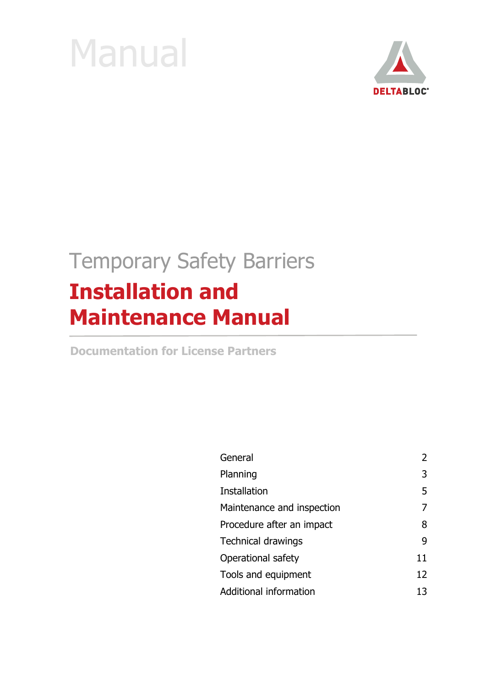



# Temporary Safety Barriers **Installation and Maintenance Manual**

**Documentation for License Partners** 

| General                    | $\mathcal{L}$ |
|----------------------------|---------------|
| Planning                   | 3             |
| Installation               | 5             |
| Maintenance and inspection |               |
| Procedure after an impact  | 8             |
| <b>Technical drawings</b>  | q             |
| Operational safety         | 11            |
| Tools and equipment        | 12            |
| Additional information     | 13            |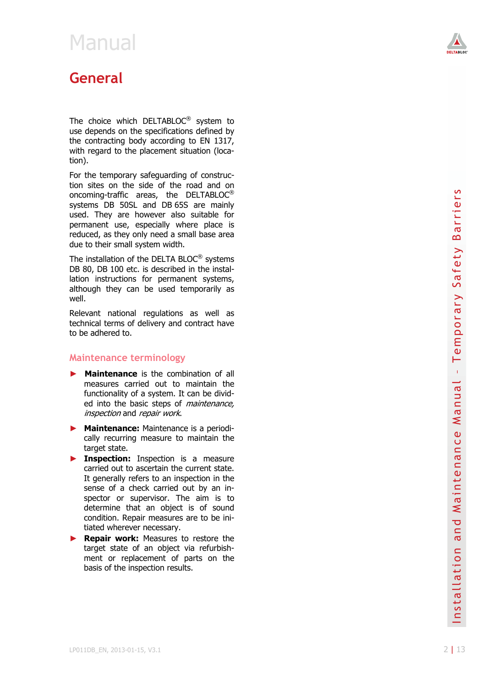

### **General**

The choice which DELTABLOC<sup>®</sup> system to use depends on the specifications defined by the contracting body according to EN 1317, with regard to the placement situation (location).

For the temporary safeguarding of construction sites on the side of the road and on oncoming-traffic areas, the DELTABLOC $^{\circ}$ systems DB 50SL and DB 65S are mainly used. They are however also suitable for permanent use, especially where place is reduced, as they only need a small base area due to their small system width.

The installation of the DELTA BLOC<sup>®</sup> systems DB 80, DB 100 etc. is described in the installation instructions for permanent systems, although they can be used temporarily as well.

Relevant national regulations as well as technical terms of delivery and contract have to be adhered to.

#### **Maintenance terminology**

- ► **Maintenance** is the combination of all measures carried out to maintain the functionality of a system. It can be divided into the basic steps of *maintenance*, inspection and repair work.
- ► **Maintenance:** Maintenance is a periodically recurring measure to maintain the target state.
- ► **Inspection:** Inspection is a measure carried out to ascertain the current state. It generally refers to an inspection in the sense of a check carried out by an inspector or supervisor. The aim is to determine that an object is of sound condition. Repair measures are to be initiated wherever necessary.
- ► **Repair work:** Measures to restore the target state of an object via refurbishment or replacement of parts on the basis of the inspection results.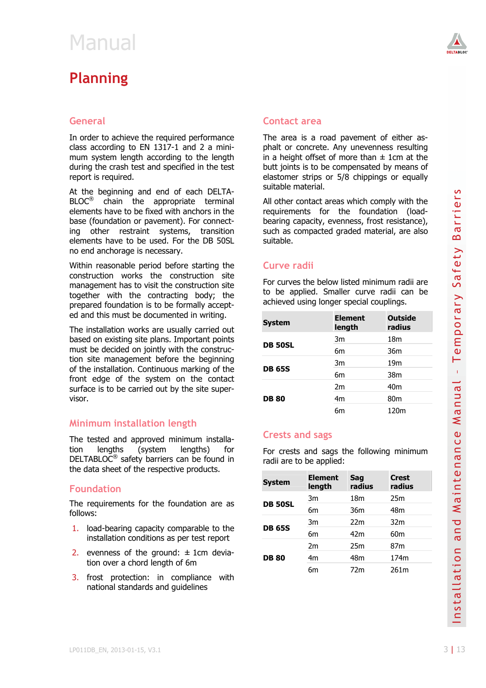### **Planning**

#### **General**

In order to achieve the required performance class according to EN 1317-1 and 2 a minimum system length according to the length during the crash test and specified in the test report is required.

#### **Minimum installation length**

#### **Foundation**

- 1. load-bearing capacity comparable to the installation conditions as per test report
- 2. evenness of the ground:  $\pm$  1cm deviation over a chord length of 6m
- 3. frost protection: in compliance with national standards and guidelines



#### **Contact area**

The area is a road pavement of either asphalt or concrete. Any unevenness resulting in a height offset of more than  $\pm$  1cm at the butt joints is to be compensated by means of elastomer strips or 5/8 chippings or equally suitable material.

#### **Curve radii**

| <b>System</b>  | <b>Element</b><br>length | <b>Outside</b><br>radius |
|----------------|--------------------------|--------------------------|
| <b>DB 50SL</b> | 3m                       | 18 <sub>m</sub>          |
|                | 6m                       | 36m                      |
| <b>DB 65S</b>  | 3m                       | 19 <sub>m</sub>          |
|                | 6m                       | 38m                      |
| <b>DB 80</b>   | 2m                       | 40 <sub>m</sub>          |
|                | 4 <sub>m</sub>           | 80 <sub>m</sub>          |
|                | бm                       | 120m                     |

#### **Crests and sags**

| At the beginning and end of each DELTA-                                                                                                                                                                                               | suitable material.<br>All other contact areas which comply with the<br>requirements for the foundation (load-<br>bearing capacity, evenness, frost resistance),<br>such as compacted graded material, are also<br>suitable. |                          |               |                          | S                                           |
|---------------------------------------------------------------------------------------------------------------------------------------------------------------------------------------------------------------------------------------|-----------------------------------------------------------------------------------------------------------------------------------------------------------------------------------------------------------------------------|--------------------------|---------------|--------------------------|---------------------------------------------|
| $BLOC^@$ chain the<br>appropriate terminal<br>elements have to be fixed with anchors in the<br>base (foundation or pavement). For connect-<br>other restraint systems, transition<br>ing<br>elements have to be used. For the DB 50SL |                                                                                                                                                                                                                             |                          |               |                          | rrier:<br>$\overline{\sigma}$<br>B          |
| no end anchorage is necessary.                                                                                                                                                                                                        |                                                                                                                                                                                                                             |                          |               |                          |                                             |
| Within reasonable period before starting the<br>construction works the construction site<br>management has to visit the construction site<br>together with the contracting body; the<br>prepared foundation is to be formally accept- | Curve radii<br>For curves the below listed minimum radii are.<br>to be applied. Smaller curve radii can be<br>achieved using longer special couplings.                                                                      |                          |               |                          | fety<br>Б<br>С                              |
| ed and this must be documented in writing.                                                                                                                                                                                            | <b>System</b>                                                                                                                                                                                                               | <b>Element</b><br>length |               | <b>Outside</b><br>radius | Temporary                                   |
| The installation works are usually carried out<br>based on existing site plans. Important points                                                                                                                                      |                                                                                                                                                                                                                             | 3m                       |               | 18m                      |                                             |
| must be decided on jointly with the construc-                                                                                                                                                                                         | <b>DB 50SL</b>                                                                                                                                                                                                              | 6m                       |               | 36m                      |                                             |
| tion site management before the beginning                                                                                                                                                                                             |                                                                                                                                                                                                                             | 3m                       |               | 19 <sub>m</sub>          |                                             |
| of the installation. Continuous marking of the<br>front edge of the system on the contact                                                                                                                                             | <b>DB 65S</b>                                                                                                                                                                                                               | 6m                       |               | 38m                      | $\mathbf{L}$                                |
| surface is to be carried out by the site super-                                                                                                                                                                                       |                                                                                                                                                                                                                             | 2m                       |               | 40 <sub>m</sub>          |                                             |
| visor.                                                                                                                                                                                                                                | <b>DB 80</b>                                                                                                                                                                                                                | 4m                       |               | 80 <sub>m</sub>          |                                             |
|                                                                                                                                                                                                                                       |                                                                                                                                                                                                                             | 6m                       |               | 120m                     | Manua                                       |
| Minimum installation length                                                                                                                                                                                                           |                                                                                                                                                                                                                             |                          |               |                          |                                             |
| The tested and approved minimum installa-                                                                                                                                                                                             | <b>Crests and sags</b>                                                                                                                                                                                                      |                          |               |                          | $\pmb{\mathbb{U}}$<br>$\mathbf{\mathsf{C}}$ |
| tion<br>lengths<br>(system<br>lengths)<br>for<br>DELTABLOC® safety barriers can be found in<br>the data sheet of the respective products.                                                                                             | For crests and sags the following minimum<br>radii are to be applied:                                                                                                                                                       |                          |               |                          | Maintenan                                   |
| <b>Foundation</b>                                                                                                                                                                                                                     | <b>System</b>                                                                                                                                                                                                               | <b>Element</b><br>length | Sag<br>radius | <b>Crest</b><br>radius   |                                             |
| The requirements for the foundation are as                                                                                                                                                                                            |                                                                                                                                                                                                                             | 3m                       | 18m           | 25m                      |                                             |
| follows:                                                                                                                                                                                                                              | <b>DB 50SL</b>                                                                                                                                                                                                              | 6m                       | 36m           | 48m                      |                                             |
| 1. load-bearing capacity comparable to the                                                                                                                                                                                            |                                                                                                                                                                                                                             | 3m                       | 22m           | 32m                      |                                             |
| installation conditions as per test report                                                                                                                                                                                            | <b>DB 65S</b>                                                                                                                                                                                                               | 6m                       | 42m           | 60 <sub>m</sub>          | and                                         |
| 2. evenness of the ground: $\pm$ 1cm devia-                                                                                                                                                                                           |                                                                                                                                                                                                                             | 2m                       | 25m           | 87m                      | $\mathbf{C}$                                |
| tion over a chord length of 6m                                                                                                                                                                                                        | <b>DB 80</b>                                                                                                                                                                                                                | 4m                       | 48m           | 174m                     |                                             |
| 3.<br>frost protection: in compliance<br>with<br>national standards and guidelines                                                                                                                                                    |                                                                                                                                                                                                                             | 6m                       | 72m           | 261m                     | Installatio                                 |
| LP011DB_EN, 2013-01-15, V3.1                                                                                                                                                                                                          |                                                                                                                                                                                                                             |                          |               |                          | 3   13                                      |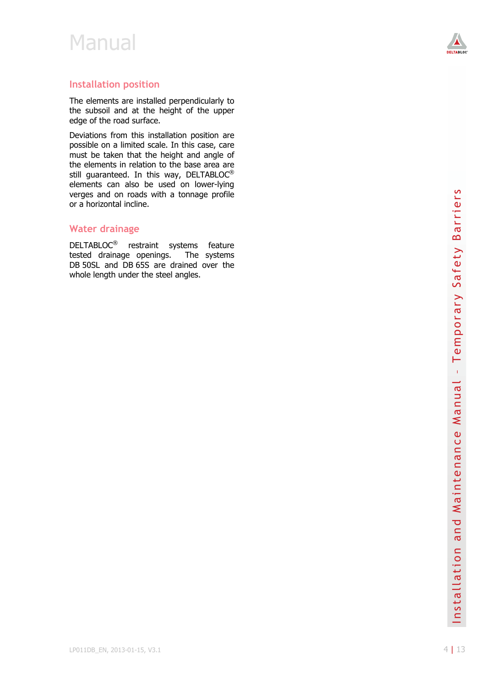

#### **Installation position**

The elements are installed perpendicularly to the subsoil and at the height of the upper edge of the road surface.

Deviations from this installation position are possible on a limited scale. In this case, care must be taken that the height and angle of the elements in relation to the base area are still guaranteed. In this way, DELTABLOC<sup>®</sup> elements can also be used on lower-lying verges and on roads with a tonnage profile or a horizontal incline.

#### **Water drainage**

DELTABLOC<sup>®</sup> restraint systems feature tested drainage openings. The systems DB 50SL and DB 65S are drained over the whole length under the steel angles.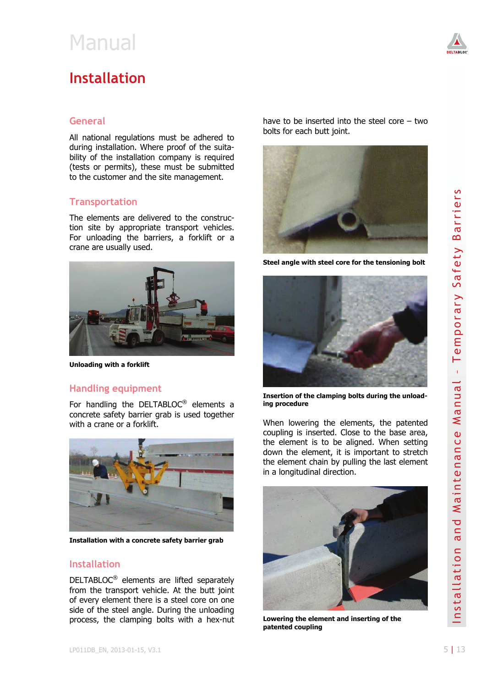### **Installation**

#### **General**

All national regulations must be adhered to during installation. Where proof of the suitability of the installation company is required (tests or permits), these must be submitted to the customer and the site management.

#### **Transportation**

The elements are delivered to the construction site by appropriate transport vehicles. For unloading the barriers, a forklift or a crane are usually used.



**Unloading with a forklift** 

#### **Handling equipment**

For handling the DELTABLOC® elements a concrete safety barrier grab is used together with a crane or a forklift.



**Installation with a concrete safety barrier grab** 

#### **Installation**

DELTABLOC® elements are lifted separately from the transport vehicle. At the butt joint of every element there is a steel core on one side of the steel angle. During the unloading process, the clamping bolts with a hex-nut have to be inserted into the steel core – two bolts for each butt joint.



**Steel angle with steel core for the tensioning bolt** 



**Insertion of the clamping bolts during the unloading procedure** 

When lowering the elements, the patented coupling is inserted. Close to the base area, the element is to be aligned. When setting down the element, it is important to stretch the element chain by pulling the last element in a longitudinal direction.



**Lowering the element and inserting of the patented coupling**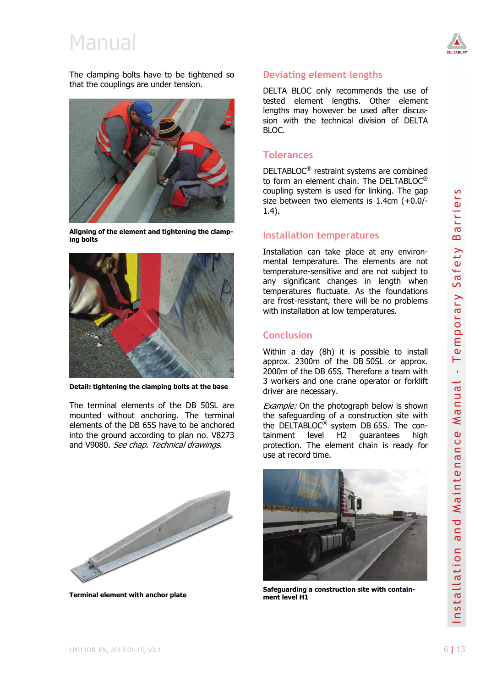

The clamping bolts have to be tightened so that the couplings are under tension.



**Aligning of the element and tightening the clamping bolts** 



**Detail: tightening the clamping bolts at the base** 

The terminal elements of the DB 50SL are mounted without anchoring. The terminal elements of the DB 65S have to be anchored into the ground according to plan no. V8273 and V9080. See chap. Technical drawings.



**Terminal element with anchor plate** 

#### **Deviating element lengths**

DELTA BLOC only recommends the use of tested element lengths. Other element lengths may however be used after discussion with the technical division of DELTA BLOC.

#### **Tolerances**

DELTABLOC® restraint systems are combined to form an element chain. The DELTABLOC® coupling system is used for linking. The gap size between two elements is 1.4cm (+0.0/- 1.4).

#### **Installation temperatures**

Installation can take place at any environmental temperature. The elements are not temperature-sensitive and are not subject to any significant changes in length when temperatures fluctuate. As the foundations are frost-resistant, there will be no problems with installation at low temperatures.

#### **Conclusion**

Within a day (8h) it is possible to install approx. 2300m of the DB 50SL or approx. 2000m of the DB 65S. Therefore a team with 3 workers and one crane operator or forklift driver are necessary.

Example: On the photograph below is shown the safeguarding of a construction site with the DELTABLOC® system DB 65S. The containment level H2 guarantees high protection. The element chain is ready for use at record time.



**Safeguarding a construction site with containment level H1**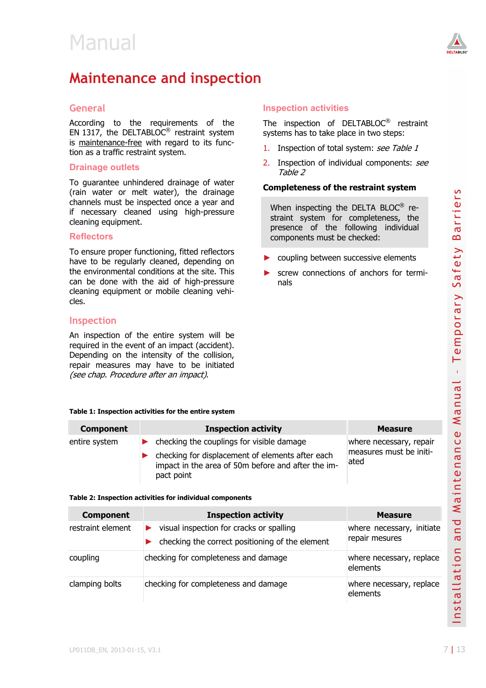

### **Maintenance and inspection**

#### **General**

According to the requirements of the EN 1317, the DELTABLOC<sup>®</sup> restraint system is maintenance-free with regard to its function as a traffic restraint system.

#### **Drainage outlets**

To guarantee unhindered drainage of water (rain water or melt water), the drainage channels must be inspected once a year and if necessary cleaned using high-pressure cleaning equipment.

#### **Reflectors**

#### **Inspection**

#### **Table 1: Inspection activities for the entire system**

#### **Component Component Inspection activity Component Measure** entire system ► checking the couplings for visible damage  $\blacktriangleright$  checking for displacement of elements after each impact in the area of 50m before and after the impact point where necessary, repair measures must be initiated

#### **Table 2: Inspection activities for individual components**

|                                                                                                               | (rain water or melt water), the drainage                                                                                                                                                                                                    |                                                                                                                                 | Completeness of the restraint system                                            | S<br>rrier               |
|---------------------------------------------------------------------------------------------------------------|---------------------------------------------------------------------------------------------------------------------------------------------------------------------------------------------------------------------------------------------|---------------------------------------------------------------------------------------------------------------------------------|---------------------------------------------------------------------------------|--------------------------|
| channels must be inspected once a year and<br>if necessary cleaned using high-pressure<br>cleaning equipment. |                                                                                                                                                                                                                                             | When inspecting the DELTA BLOC <sup>®</sup> re-<br>straint system for completeness, the<br>presence of the following individual |                                                                                 |                          |
| <b>Reflectors</b>                                                                                             |                                                                                                                                                                                                                                             | components must be checked:                                                                                                     |                                                                                 | $\overline{\sigma}$<br>B |
| cles.                                                                                                         | To ensure proper functioning, fitted reflectors<br>have to be regularly cleaned, depending on<br>the environmental conditions at the site. This<br>can be done with the aid of high-pressure<br>cleaning equipment or mobile cleaning vehi- | nals                                                                                                                            | coupling between successive elements<br>screw connections of anchors for termi- | Safety                   |
| <b>Inspection</b>                                                                                             |                                                                                                                                                                                                                                             |                                                                                                                                 |                                                                                 |                          |
| (see chap. Procedure after an impact).                                                                        | An inspection of the entire system will be<br>required in the event of an impact (accident).<br>Depending on the intensity of the collision,<br>repair measures may have to be initiated                                                    |                                                                                                                                 |                                                                                 | emporary<br>Ē            |
|                                                                                                               |                                                                                                                                                                                                                                             |                                                                                                                                 |                                                                                 |                          |
|                                                                                                               | Table 1: Inspection activities for the entire system                                                                                                                                                                                        |                                                                                                                                 |                                                                                 | Manua                    |
| <b>Component</b>                                                                                              | <b>Inspection activity</b>                                                                                                                                                                                                                  |                                                                                                                                 | <b>Measure</b>                                                                  | $\pmb{\mathbb{U}}$       |
| entire system                                                                                                 | checking the couplings for visible damage<br>▶                                                                                                                                                                                              |                                                                                                                                 | where necessary, repair                                                         |                          |
|                                                                                                               | checking for displacement of elements after each<br>impact in the area of 50m before and after the im-<br>pact point                                                                                                                        |                                                                                                                                 | measures must be initi-<br>ated                                                 |                          |
|                                                                                                               | Table 2: Inspection activities for individual components                                                                                                                                                                                    |                                                                                                                                 |                                                                                 |                          |
| <b>Component</b>                                                                                              | <b>Inspection activity</b>                                                                                                                                                                                                                  |                                                                                                                                 | <b>Measure</b>                                                                  | Maintenanc               |
| restraint element                                                                                             | visual inspection for cracks or spalling<br>▶<br>checking the correct positioning of the element                                                                                                                                            |                                                                                                                                 | where necessary, initiate<br>repair mesures                                     | and                      |
| coupling                                                                                                      | checking for completeness and damage                                                                                                                                                                                                        |                                                                                                                                 | where necessary, replace<br>elements                                            | $\epsilon$               |
| clamping bolts                                                                                                | checking for completeness and damage                                                                                                                                                                                                        |                                                                                                                                 | where necessary, replace<br>elements                                            | Installatio              |

#### The inspection of DELTABLOC® restraint systems has to take place in two steps: 1. Inspection of total system: see Table 1

2. Inspection of individual components: see Table 2

#### **Completeness of the restraint system**

**Inspection activities** 

- coupling between successive elements
- screw connections of anchors for terminals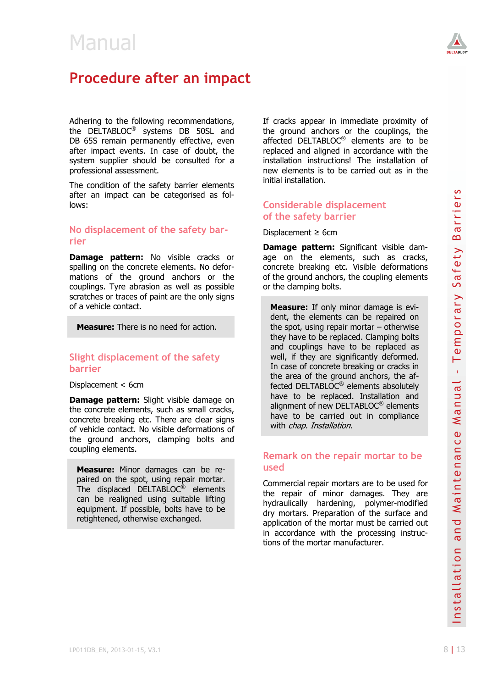

### **Procedure after an impact**

Adhering to the following recommendations, the DELTABLOC® systems DB 50SL and DB 65S remain permanently effective, even after impact events. In case of doubt, the system supplier should be consulted for a professional assessment.

The condition of the safety barrier elements after an impact can be categorised as follows:

#### **No displacement of the safety barrier**

**Damage pattern:** No visible cracks or spalling on the concrete elements. No deformations of the ground anchors or the couplings. Tyre abrasion as well as possible scratches or traces of paint are the only signs of a vehicle contact.

**Measure:** There is no need for action.

#### **Slight displacement of the safety barrier**

Displacement < 6cm

**Damage pattern:** Slight visible damage on the concrete elements, such as small cracks, concrete breaking etc. There are clear signs of vehicle contact. No visible deformations of the ground anchors, clamping bolts and coupling elements.

**Measure:** Minor damages can be repaired on the spot, using repair mortar. The displaced DELTABLOC® elements can be realigned using suitable lifting equipment. If possible, bolts have to be retightened, otherwise exchanged.

If cracks appear in immediate proximity of the ground anchors or the couplings, the affected DELTABLOC® elements are to be replaced and aligned in accordance with the installation instructions! The installation of new elements is to be carried out as in the initial installation.

#### **Considerable displacement of the safety barrier**

Displacement  $\geq$  6cm

**Damage pattern:** Significant visible damage on the elements, such as cracks, concrete breaking etc. Visible deformations of the ground anchors, the coupling elements or the clamping bolts.

The considered enter the safety barrier central is the safety barrier of the safety barrier of the safety barrier references of the safety barrier references of the safety barrier references of the company **parter** in the **Measure:** If only minor damage is evident, the elements can be repaired on the spot, using repair mortar – otherwise they have to be replaced. Clamping bolts and couplings have to be replaced as well, if they are significantly deformed. In case of concrete breaking or cracks in the area of the ground anchors, the affected DELTABLOC® elements absolutely have to be replaced. Installation and alignment of new DELTABLOC<sup>®</sup> elements have to be carried out in compliance with *chap. Installation.* 

#### **Remark on the repair mortar to be used**

Commercial repair mortars are to be used for the repair of minor damages. They are hydraulically hardening, polymer-modified dry mortars. Preparation of the surface and application of the mortar must be carried out in accordance with the processing instructions of the mortar manufacturer.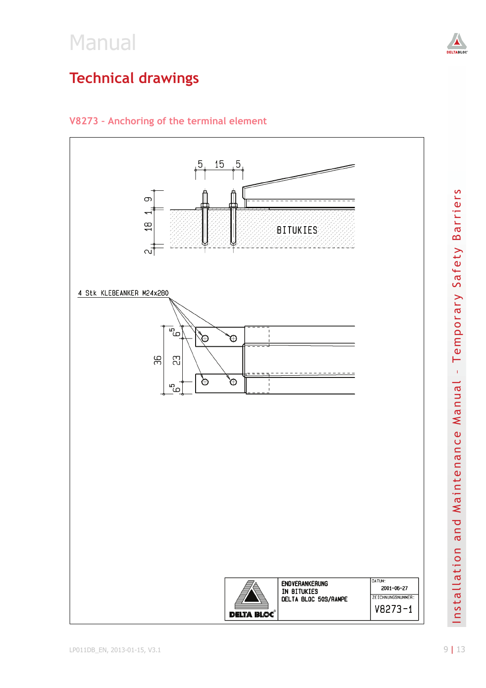

### **V8273 – Anchoring of the terminal element**



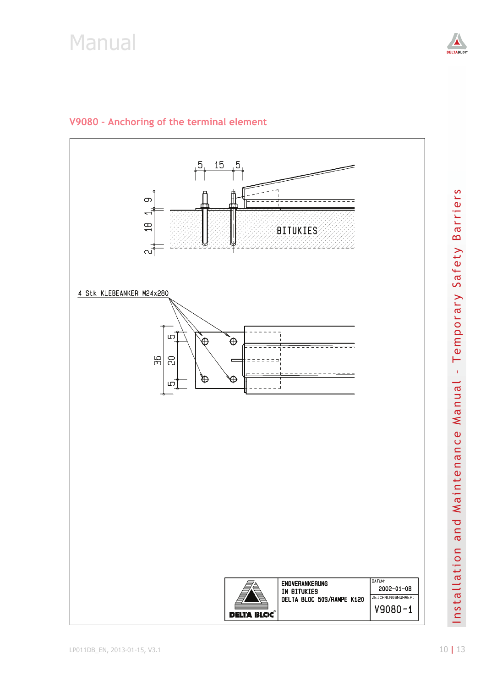

#### **V9080 – Anchoring of the terminal element**

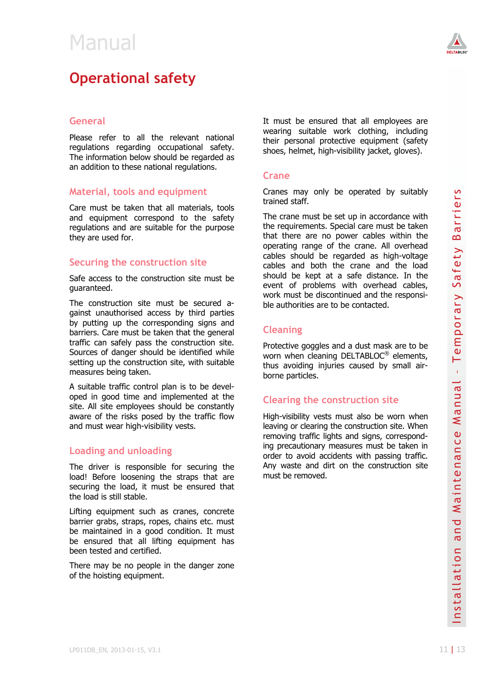

### **Operational safety**

#### **General**

Please refer to all the relevant national regulations regarding occupational safety. The information below should be regarded as an addition to these national regulations.

#### **Material, tools and equipment**

Care must be taken that all materials, tools and equipment correspond to the safety regulations and are suitable for the purpose they are used for.

#### **Securing the construction site**

Safe access to the construction site must be guaranteed.

The construction site must be secured against unauthorised access by third parties by putting up the corresponding signs and barriers. Care must be taken that the general traffic can safely pass the construction site. Sources of danger should be identified while setting up the construction site, with suitable measures being taken.

A suitable traffic control plan is to be developed in good time and implemented at the site. All site employees should be constantly aware of the risks posed by the traffic flow and must wear high-visibility vests.

#### **Loading and unloading**

The driver is responsible for securing the load! Before loosening the straps that are securing the load, it must be ensured that the load is still stable.

Lifting equipment such as cranes, concrete barrier grabs, straps, ropes, chains etc. must be maintained in a good condition. It must be ensured that all lifting equipment has been tested and certified.

There may be no people in the danger zone of the hoisting equipment.

It must be ensured that all employees are wearing suitable work clothing, including their personal protective equipment (safety shoes, helmet, high-visibility jacket, gloves).

#### **Crane**

Cranes may only be operated by suitably trained staff.

Material, tools and equipment<br>
Vanish standard soft, the operated by suitably<br>
Can model withen then then then then then then the suitable for the pupper<br>
couplidnes and detect the pupper<br>
the calibration and the suitable The crane must be set up in accordance with the requirements. Special care must be taken that there are no power cables within the operating range of the crane. All overhead cables should be regarded as high-voltage cables and both the crane and the load should be kept at a safe distance. In the event of problems with overhead cables, work must be discontinued and the responsible authorities are to be contacted.

#### **Cleaning**

Protective goggles and a dust mask are to be worn when cleaning DELTABLOC® elements, thus avoiding injuries caused by small airborne particles.

#### **Clearing the construction site**

High-visibility vests must also be worn when leaving or clearing the construction site. When removing traffic lights and signs, corresponding precautionary measures must be taken in order to avoid accidents with passing traffic. Any waste and dirt on the construction site must be removed.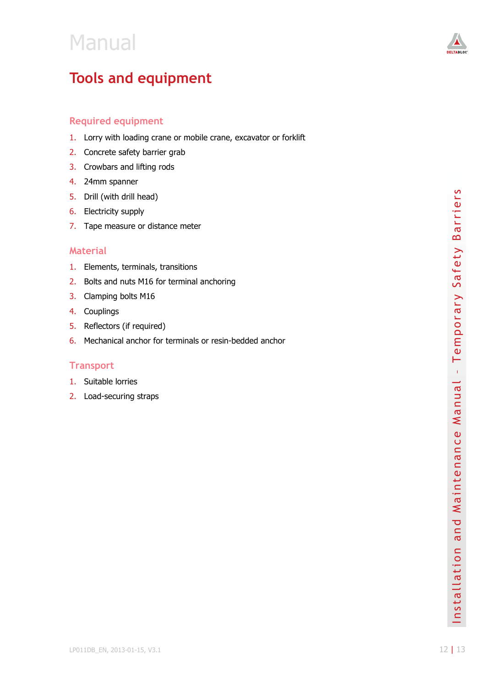

### **Tools and equipment**

#### **Required equipment**

- 1. Lorry with loading crane or mobile crane, excavator or forklift
- 2. Concrete safety barrier grab
- 3. Crowbars and lifting rods
- 4. 24mm spanner
- 5. Drill (with drill head)
- 6. Electricity supply
- 7. Tape measure or distance meter

#### **Material**

- 1. Elements, terminals, transitions
- 2. Bolts and nuts M16 for terminal anchoring
- 3. Clamping bolts M16
- 4. Couplings
- 5. Reflectors (if required)
- 6. Mechanical anchor for terminals or resin-bedded anchor

#### **Transport**

- 1. Suitable lorries
- 2. Load-securing straps